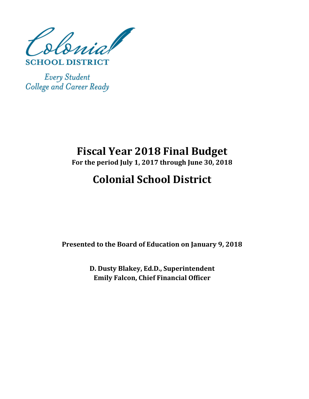olonial

**SCHOOL DISTRICT** 

**Every Student** College and Career Ready

## **Fiscal Year 2018 Final Budget**

**For the period July 1, 2017 through June 30, 2018**

# **Colonial School District**

**Presented to the Board of Education on January 9, 2018**

**D. Dusty Blakey, Ed.D., Superintendent Emily Falcon, Chief Financial Officer**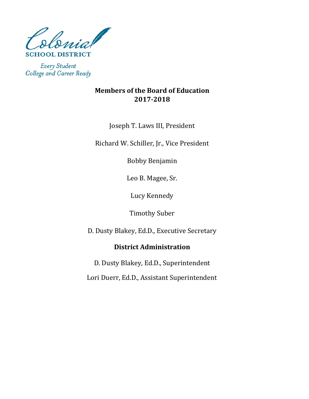

**Every Student** College and Career Ready

### **Members of the Board of Education 2017-2018**

Joseph T. Laws III, President

Richard W. Schiller, Jr., Vice President

Bobby Benjamin

Leo B. Magee, Sr.

Lucy Kennedy

Timothy Suber

D. Dusty Blakey, Ed.D., Executive Secretary

## **District Administration**

Lori Duerr, Ed.D., Assistant Superintendent D. Dusty Blakey, Ed.D., Superintendent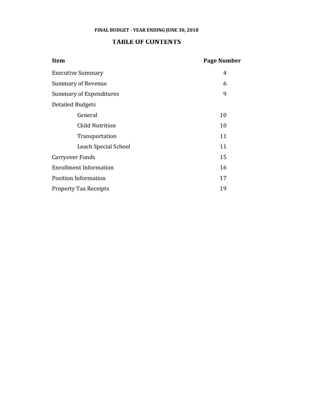#### **FINAL BUDGET - YEAR ENDING JUNE 30, 2018**

#### **TABLE OF CONTENTS**

| <b>Item</b>                   | <b>Page Number</b> |
|-------------------------------|--------------------|
| <b>Executive Summary</b>      | 4                  |
| <b>Summary of Revenue</b>     | 6                  |
| Summary of Expenditures       | 9                  |
| <b>Detailed Budgets</b>       |                    |
| General                       | 10                 |
| <b>Child Nutrition</b>        | 10                 |
| Transportation                | 11                 |
| Leach Special School          | 11                 |
| Carryover Funds               | 15                 |
| <b>Enrollment Information</b> | 16                 |
| <b>Position Information</b>   | 17                 |
| <b>Property Tax Receipts</b>  | 19                 |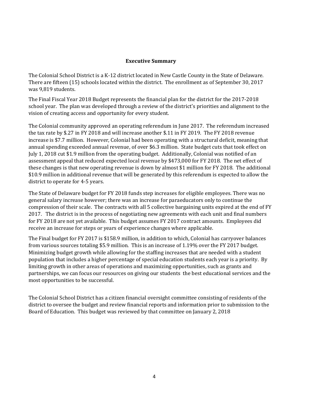#### **Executive Summary**

The Colonial School District is a K-12 district located in New Castle County in the State of Delaware. There are fifteen (15) schools located within the district. The enrollment as of September 30, 2017 was 9,819 students.

The Final Fiscal Year 2018 Budget represents the financial plan for the district for the 2017-2018 school year. The plan was developed through a review of the district's priorities and alignment to the vision of creating access and opportunity for every student.

The Colonial community approved an operating referendum in June 2017. The referendum increased the tax rate by \$.27 in FY 2018 and will increase another \$.11 in FY 2019. The FY 2018 revenue increase is \$7.7 million. However, Colonial had been operating with a structural deficit, meaning that annual spending exceeded annual revenue, of over \$6.3 million. State budget cuts that took effect on July 1, 2018 cut \$1.9 million from the operating budget. Additionally, Colonial was notified of an assessment appeal that reduced expected local revenue by \$473,000 for FY 2018. The net effect of these changes is that new operating revenue is down by almost \$1 million for FY 2018. The additional \$10.9 million in additional revenue that will be generated by this referendum is expected to allow the district to operate for 4-5 years.

The State of Delaware budget for FY 2018 funds step increases for eligible employees. There was no general salary increase however; there was an increase for paraeducators only to continue the compression of their scale. The contracts with all 5 collective bargaining units expired at the end of FY 2017. The district is in the process of negotiating new agreements with each unit and final numbers for FY 2018 are not yet available. This budget assumes FY 2017 contract amounts. Employees did receive an increase for steps or years of experience changes where applicable.

The Final budget for FY 2017 is \$158.9 million, in addition to which, Colonial has carryover balances from various sources totaling \$5.9 million. This is an increase of 1.19% over the FY 2017 budget. Minimizing budget growth while allowing for the staffing increases that are needed with a student population that includes a higher percentage of special education students each year is a priority. By limiting growth in other areas of operations and maximizing opportunities, such as grants and partnerships, we can focus our resources on giving our students the best educational services and the most opportunities to be successful.

The Colonial School District has a citizen financial oversight committee consisting of residents of the district to oversee the budget and review financial reports and information prior to submission to the Board of Education. This budget was reviewed by that committee on January 2, 2018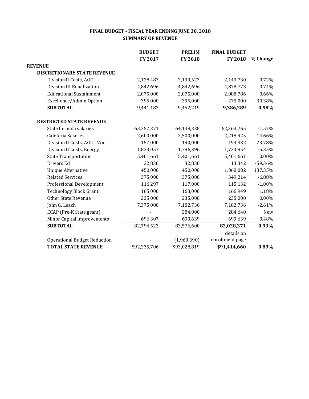#### **FINAL BUDGET - FISCAL YEAR ENDING JUNE 30, 2018 SUMMARY OF REVENUE**

|                                     | <b>BUDGET</b> | <b>PRELIM</b> | <b>FINAL BUDGET</b> |           |
|-------------------------------------|---------------|---------------|---------------------|-----------|
|                                     | FY 2017       | FY 2018       | FY 2018             | % Change  |
| <b>REVENUE</b>                      |               |               |                     |           |
| <b>DISCRETIONARY STATE REVENUE</b>  |               |               |                     |           |
| Division II Costs, AOC              | 2,128,487     | 2,139,523     | 2,143,730           | 0.72%     |
| Division III Equalization           | 4,842,696     | 4,842,696     | 4,878,773           | 0.74%     |
| <b>Educational Sustainment</b>      | 2,075,000     | 2,075,000     | 2,088,786           | 0.66%     |
| Excellence/Admin Option             | 395,000       | 395,000       | 275,000             | $-30.38%$ |
| <b>SUBTOTAL</b>                     | 9,441,183     | 9,452,219     | 9,386,289           | $-0.58%$  |
| <b>RESTRICTED STATE REVENUE</b>     |               |               |                     |           |
| State formula salaries              | 63,357,371    | 64,149,338    | 62,363,765          | $-1.57%$  |
| Cafeteria Salaries                  | 2,600,000     | 2,500,000     | 2,218,925           | $-14.66%$ |
| Division II Costs, AOC - Voc        | 157,000       | 190,000       | 194,332             | 23.78%    |
| Division II Costs, Energy           | 1,833,057     | 1,796,396     | 1,734,954           | $-5.35%$  |
| <b>State Transportation</b>         | 5,401,661     | 5,401,661     | 5,401,661           | $0.00\%$  |
| Drivers Ed                          | 32,830        | 32,830        | 13,342              | -59.36%   |
| <b>Unique Alternative</b>           | 450,000       | 450,000       | 1,068,082           | 137.35%   |
| <b>Related Services</b>             | 375,000       | 375,000       | 349,214             | $-6.88%$  |
| <b>Professional Development</b>     | 116,297       | 117,000       | 115,132             | $-1.00%$  |
| <b>Technology Block Grant</b>       | 165,000       | 163,000       | 166,949             | 1.18%     |
| <b>Other State Revenue</b>          | 235,000       | 235,000       | 235,000             | 0.00%     |
| John G. Leach                       | 7,375,000     | 7,182,736     | 7,182,736           | $-2.61%$  |
| ECAP (Pre-K State grant)            |               | 284,000       | 284,640             | New       |
| <b>Minor Capital Improvements</b>   | 696,307       | 699,639       | 699,639             | 0.48%     |
| <b>SUBTOTAL</b>                     | 82,794,523    | 83,576,600    | 82,028,371          | $-0.93%$  |
|                                     |               |               | details on          |           |
| <b>Operational Budget Reduction</b> |               | (1,960,690)   | enrollment page     |           |
| <b>TOTAL STATE REVENUE</b>          | \$92,235,706  | \$93,028,819  | \$91,414,660        | $-0.89%$  |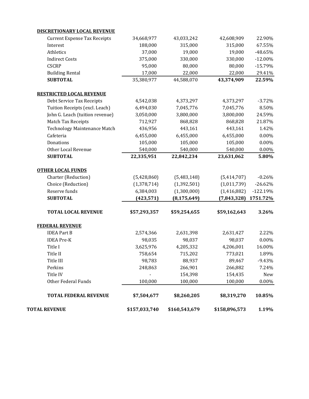| <b>TOTAL FEDERAL REVENUE</b>                    | \$7,504,677  | \$8,260,205   | \$8,319,270   | 10.85%     |
|-------------------------------------------------|--------------|---------------|---------------|------------|
| Other Federal Funds                             | 100,000      | 100,000       | 100,000       | $0.00\%$   |
| Title IV                                        |              | 154,398       | 154,435       | New        |
| Perkins                                         | 248,863      | 266,901       | 266,882       | 7.24%      |
| Title III                                       | 98,783       | 88,937        | 89,467        | $-9.43%$   |
| Title II                                        | 758,654      | 715,202       | 773,021       | 1.89%      |
| Title I                                         | 3,625,976    | 4,205,332     | 4,206,001     | 16.00%     |
| <b>IDEA Pre-K</b>                               | 98,035       | 98,037        | 98,037        | 0.00%      |
| <b>IDEA Part B</b>                              | 2,574,366    | 2,631,398     | 2,631,427     | 2.22%      |
| <b>FEDERAL REVENUE</b>                          |              |               |               |            |
| <b>TOTAL LOCAL REVENUE</b>                      | \$57,293,357 | \$59,254,655  | \$59,162,643  | 3.26%      |
| <b>SUBTOTAL</b>                                 | (423, 571)   | (8, 175, 649) | (7, 843, 328) | 1751.72%   |
| Reserve funds                                   | 6,384,003    | (1,300,000)   | (1,416,882)   | $-122.19%$ |
| Choice (Reduction)                              | (1,378,714)  | (1, 392, 501) | (1,011,739)   | $-26.62%$  |
| <b>OTHER LOCAL FUNDS</b><br>Charter (Reduction) | (5,428,860)  | (5,483,148)   | (5,414,707)   | $-0.26%$   |
| <b>SUBTOTAL</b>                                 | 22,335,951   | 22,842,234    | 23,631,062    | 5.80%      |
| Other Local Revenue                             | 540,000      | 540,000       | 540,000       | $0.00\%$   |
| Donations                                       | 105,000      | 105,000       | 105,000       | $0.00\%$   |
| Cafeteria                                       | 6,455,000    | 6,455,000     | 6,455,000     | 0.00%      |
| <b>Technology Maintenance Match</b>             | 436,956      | 443,161       | 443,161       | 1.42%      |
| Match Tax Receipts                              | 712,927      | 868,828       | 868,828       | 21.87%     |
| John G. Leach (tuition revenue)                 | 3,050,000    | 3,800,000     | 3,800,000     | 24.59%     |
| Tuition Receipts (excl. Leach)                  | 6,494,030    | 7,045,776     | 7,045,776     | 8.50%      |
| Debt Service Tax Receipts                       | 4,542,038    | 4,373,297     | 4,373,297     | $-3.72%$   |
| <b>RESTRICTED LOCAL REVENUE</b>                 |              |               |               |            |
| <b>SUBTOTAL</b>                                 | 35,380,977   | 44,588,070    | 43,374,909    | 22.59%     |
| <b>Building Rental</b>                          | 17,000       | 22,000        | 22,000        | 29.41%     |
| <b>CSCRP</b>                                    | 95,000       | 80,000        | 80,000        | $-15.79%$  |
| <b>Indirect Costs</b>                           | 375,000      | 330,000       | 330,000       | $-12.00\%$ |
| Athletics                                       | 37,000       | 19,000        | 19,000        | -48.65%    |
| Interest                                        | 188,000      | 315,000       | 315,000       | 67.55%     |
| <b>Current Expense Tax Receipts</b>             | 34,668,977   | 43,033,242    | 42,608,909    | 22.90%     |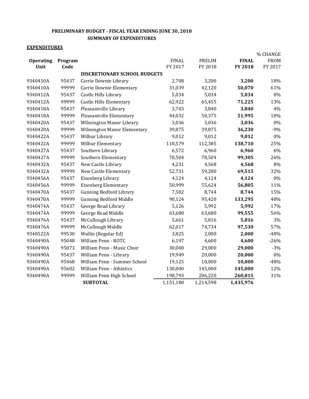#### **PRELIMINARY BUDGET - FISCAL YEAR ENDING JUNE 30, 2018 SUMMARY OF EXPENDITURES**

#### **EXPENDITURES**

|                  |         |                                     |              |               |                | % CHANGE    |
|------------------|---------|-------------------------------------|--------------|---------------|----------------|-------------|
| <b>Operating</b> | Program |                                     | <b>FINAL</b> | <b>PRELIM</b> | <b>FINAL</b>   | <b>FROM</b> |
| Unit             | Code    |                                     | FY 2017      | FY 2018       | <b>FY 2018</b> | FY 2017     |
|                  |         | <b>DISCRETIONARY SCHOOL BUDGETS</b> |              |               |                |             |
| 9340410A         | 95437   | Carrie Downie Library               | 2,708        | 3,200         | 3,200          | 18%         |
| 9340410A         | 99999   | Carrie Downie Elementary            | 31,039       | 42,120        | 50,070         | 61%         |
| 9340412A         | 95437   | Castle Hills Library                | 5,034        | 5,034         | 5,034          | 0%          |
| 9340412A         | 99999   | <b>Castle Hills Elementary</b>      | 62,922       | 65,455        | 71,225         | 13%         |
| 9340418A         | 95437   | Pleasantville Library               | 3,703        | 3,840         | 3,840          | 4%          |
| 9340418A         | 99999   | Pleasantville Elementary            | 44,032       | 50,375        | 51,995         | 18%         |
| 9340420A         | 95437   | Wilmington Manor Library            | 3,036        | 3,036         | 3,036          | $0\%$       |
| 9340420A         | 99999   | Wilmington Manor Elementary         | 39,875       | 39,875        | 36,230         | $-9%$       |
| 9340422A         | 95437   | Wilbur Library                      | 9,012        | 9,012         | 9,012          | 0%          |
| 9340422A         | 99999   | Wilbur Elementary                   | 110,579      | 112,385       | 138,710        | 25%         |
| 9340427A         | 95437   | Southern Library                    | 6,572        | 6,960         | 6,960          | 6%          |
| 9340427A         | 99999   | Southern Elementary                 | 78,504       | 78,504        | 99,305         | 26%         |
| 9340432A         | 95437   | New Castle Library                  | 4,231        | 4,568         | 4,568          | 8%          |
| 9340432A         | 99999   | New Castle Elementary               | 52,731       | 59,280        | 69,515         | 32%         |
| 9340456A         | 95437   | Eisenberg Library                   | 4,124        | 4,124         | 4,124          | 0%          |
| 9340456A         | 99999   | <b>Eisenberg Elementary</b>         | 50,999       | 55,624        | 56,805         | 11%         |
| 9340470A         | 95437   | <b>Gunning Bedford Library</b>      | 7,582        | 8,744         | 8,744          | 15%         |
| 9340470A         | 99999   | <b>Gunning Bedford Middle</b>       | 90,124       | 95,420        | 133,295        | 48%         |
| 9340474A         | 95437   | George Read Library                 | 5,126        | 5,992         | 5,992          | 17%         |
| 9340474A         | 99999   | George Read Middle                  | 63,680       | 63,680        | 99,555         | 56%         |
| 9340476A         | 95437   | McCullough Library                  | 5,661        | 5,816         | 5,816          | 3%          |
| 9340476A         | 99999   | McCullough Middle                   | 62,017       | 74,734        | 97,530         | 57%         |
| 9340522A         | 99530   | Wallin (Regular Ed)                 | 3,825        | 2,000         | 2,000          | $-48%$      |
| 9340490A         | 95048   | William Penn - ROTC                 | 6,197        | 4,600         | 4,600          | $-26%$      |
| 9340490A         | 95073   | William Penn - Music Choir          | 30,000       | 29,000        | 29,000         | $-3%$       |
| 9340490A         | 95437   | William Penn - Library              | 19,949       | 20,000        | 20,000         | $0\%$       |
| 9340490A         | 95468   | William Penn - Summer School        | 19,125       | 10,000        | 10,000         | $-48%$      |
| 9340490A         | 95602   | <b>William Penn - Athletics</b>     | 130,000      | 145,000       | 145,000        | 12%         |
| 9340490A         | 99999   | William Penn High School            | 198,793      | 206,220       | 260,815        | 31%         |
|                  |         | <b>SUBTOTAL</b>                     | 1,151,180    | 1,214,598     | 1,435,976      |             |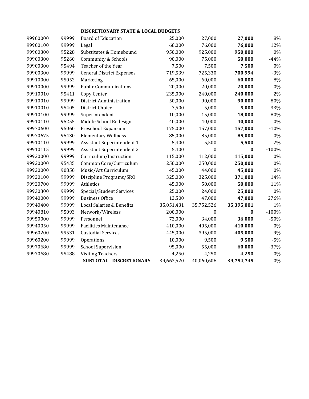| 99900000 | 99999 | <b>Board of Education</b>         | 25,000     | 27,000     | 27,000     | 8%      |
|----------|-------|-----------------------------------|------------|------------|------------|---------|
| 99900100 | 99999 | Legal                             | 68,000     | 76,000     | 76,000     | 12%     |
| 99900300 | 95228 | Substitutes & Homebound           | 950,000    | 925,000    | 950,000    | 0%      |
| 99900300 | 95260 | Community & Schools               | 90,000     | 75,000     | 50,000     | $-44%$  |
| 99900300 | 95494 | Teacher of the Year               | 7,500      | 7,500      | 7,500      | 0%      |
| 99900300 | 99999 | <b>General District Expenses</b>  | 719,539    | 725,330    | 700,994    | $-3%$   |
| 99910000 | 95052 | Marketing                         | 65,000     | 60,000     | 60,000     | $-8%$   |
| 99910000 | 99999 | <b>Public Communications</b>      | 20,000     | 20,000     | 20,000     | $0\%$   |
| 99910010 | 95411 | Copy Center                       | 235,000    | 240,000    | 240,000    | 2%      |
| 99910010 | 99999 | District Administration           | 50,000     | 90,000     | 90,000     | 80%     |
| 99910010 | 95405 | District Choice                   | 7,500      | 5,000      | 5,000      | $-33%$  |
| 99910100 | 99999 | Superintendent                    | 10,000     | 15,000     | 18,000     | 80%     |
| 99910110 | 95255 | Middle School Redesign            | 40,000     | 40,000     | 40,000     | $0\%$   |
| 99970600 | 95060 | Preschool Expansion               | 175,000    | 157,000    | 157,000    | $-10%$  |
| 99970675 | 95430 | <b>Elementary Wellness</b>        | 85,000     | 85,000     | 85,000     | 0%      |
| 99910110 | 99999 | <b>Assistant Superintendent 1</b> | 5,400      | 5,500      | 5,500      | 2%      |
| 99910115 | 99999 | <b>Assistant Superintendent 2</b> | 5,400      | 0          | 0          | $-100%$ |
| 99920000 | 99999 | Curriculum/Instruction            | 115,000    | 112,000    | 115,000    | 0%      |
| 99920000 | 95435 | Common Core/Curriculum            | 250,000    | 250,000    | 250,000    | 0%      |
| 99920000 | 90850 | Music/Art Curriculum              | 45,000     | 44,000     | 45,000     | 0%      |
| 99920100 | 99999 | Discipline Programs/SRO           | 325,000    | 325,000    | 371,000    | 14%     |
| 99920700 | 99999 | Athletics                         | 45,000     | 50,000     | 50,000     | 11%     |
| 99930300 | 99999 | Special/Student Services          | 25,000     | 24,000     | 25,000     | $0\%$   |
| 99940000 | 99999 | <b>Business Office</b>            | 12,500     | 47,000     | 47,000     | 276%    |
| 99940400 | 99999 | Local Salaries & Benefits         | 35,051,431 | 35,752,526 | 35,395,001 | 1%      |
| 99940810 | 95093 | Network/Wireless                  | 200,000    | 0          | 0          | $-100%$ |
| 99950000 | 99999 | Personnel                         | 72,000     | 34,000     | 36,000     | $-50%$  |
| 99940050 | 99999 | <b>Facilities Maintenance</b>     | 410,000    | 405,000    | 410,000    | 0%      |
| 99960200 | 99531 | <b>Custodial Services</b>         | 445,000    | 395,000    | 405,000    | $-9%$   |
| 99960200 | 99999 | Operations                        | 10,000     | 9,500      | 9,500      | $-5%$   |
| 99970680 | 99999 | <b>School Supervision</b>         | 95,000     | 55,000     | 60,000     | $-37%$  |
| 99970680 | 95488 | <b>Visiting Teachers</b>          | 4,250      | 4,250      | 4,250      | 0%      |
|          |       | SUBTOTAL - DISCRETIONARY          | 39,663,520 | 40,060,606 | 39,754,745 | $0\%$   |
|          |       |                                   |            |            |            |         |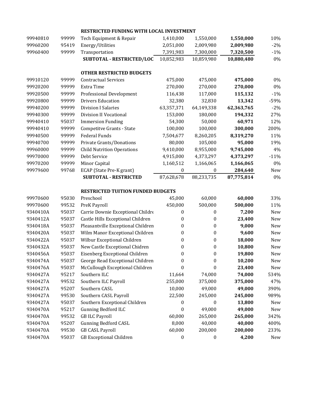| 99940810 | 99999 | Tech Equipment & Repair                  | 1,410,000        | 1,550,000        | 1,550,000  | 10%    |
|----------|-------|------------------------------------------|------------------|------------------|------------|--------|
| 99960200 | 95419 | Energy/Utilities                         | 2,051,000        | 2,009,980        | 2,009,980  | $-2%$  |
| 99960400 | 99999 | Transportation                           | 7,391,983        | 7,300,000        | 7,320,500  | $-1%$  |
|          |       | SUBTOTAL - RESTRICTED/LOC                | 10,852,983       | 10,859,980       | 10,880,480 | $0\%$  |
|          |       | <b>OTHER RESTRICTED BUDGETS</b>          |                  |                  |            |        |
| 99910120 | 99999 | <b>Contractual Services</b>              | 475,000          | 475,000          | 475,000    | 0%     |
| 99920200 | 99999 | Extra Time                               | 270,000          | 270,000          | 270,000    | $0\%$  |
| 99920500 | 99999 | <b>Professional Development</b>          | 116,438          | 117,000          | 115,132    | $-1%$  |
| 99920800 | 99999 | <b>Drivers Education</b>                 | 32,380           | 32,830           | 13,342     | $-59%$ |
| 99940200 | 99999 | <b>Division I Salaries</b>               | 63,357,371       | 64,149,338       | 62,363,765 | $-2%$  |
| 99940300 | 99999 | Division II Vocational                   | 153,000          | 180,000          | 194,332    | 27%    |
| 99940410 | 95037 | <b>Immersion Funding</b>                 | 54,300           | 50,000           | 60,971     | 12%    |
| 99940410 | 99999 | Competitve Grants - State                | 100,000          | 100,000          | 300,000    | 200%   |
| 99940500 | 99999 | Federal Funds                            | 7,504,677        | 8,260,205        | 8,319,270  | 11%    |
| 99940700 | 99999 | Private Grants/Donations                 | 80,000           | 105,000          | 95,000     | 19%    |
| 99960000 | 99999 | <b>Child Nutrition Operations</b>        | 9,410,000        | 8,955,000        | 9,745,000  | 4%     |
| 99970000 | 99999 | Debt Service                             | 4,915,000        | 4,373,297        | 4,373,297  | $-11%$ |
| 99970200 | 99999 | Minor Capital                            | 1,160,512        | 1,166,065        | 1,166,065  | $0\%$  |
| 99979600 | 99768 | ECAP (State Pre-K grant)                 | $\boldsymbol{0}$ | $\boldsymbol{0}$ | 284,640    | New    |
|          |       | <b>SUBTOTAL - RESTRICTED</b>             | 87,628,678       | 88,233,735       | 87,775,814 | 0%     |
|          |       | <b>RESTRICTED TUITION FUNDED BUDGETS</b> |                  |                  |            |        |
| 99970600 | 95030 | Preschool                                | 45,000           | 60,000           | 60,000     | 33%    |
| 99970600 | 99532 | PreK Payroll                             | 450,000          | 500,000          | 500,000    | 11%    |
| 9340410A | 95037 | Carrie Downie Exceptional Childre        | $\mathbf{0}$     | $\boldsymbol{0}$ | 7,200      | New    |
| 9340412A | 95037 | Castle Hills Exceptional Children        | 0                | 0                | 23,400     | New    |
| 9340418A | 95037 | Pleasantville Exceptional Children       | 0                | $\boldsymbol{0}$ | 9,000      | New    |
| 9340420A | 95037 | Wilm Manor Exceptional Children          | $\boldsymbol{0}$ | $\boldsymbol{0}$ | 9,600      | New    |
| 9340422A | 95037 | Wilbur Exceptional Children              | $\boldsymbol{0}$ | $\boldsymbol{0}$ | 18,000     | New    |
| 9340432A | 95037 | New Castle Exceptional Chidren           | 0                | $\boldsymbol{0}$ | 10,800     | New    |
| 9340456A | 95037 | Eisenberg Exceptional Children           | 0                | 0                | 19,800     | New    |
| 9340474A | 95037 | George Read Exceptional Children         | $\pmb{0}$        | $\boldsymbol{0}$ | 10,200     | New    |
| 9340476A | 95037 | McCullough Exceptional Children          | $\boldsymbol{0}$ | $\boldsymbol{0}$ | 23,400     | New    |
| 9340427A | 95217 | Southern ILC                             | 11,664           | 74,000           | 74,000     | 534%   |
| 9340427A | 99532 | Southern ILC Payroll                     | 255,000          | 375,000          | 375,000    | 47%    |
| 9340427A | 95207 | Southern CASL                            | 10,000           | 49,000           | 49,000     | 390%   |
| 9340427A | 99530 | Southern CASL Payroll                    | 22,500           | 245,000          | 245,000    | 989%   |
| 9340427A | 95037 | Southern Exceptional Children            | $\mathbf{0}$     | $\boldsymbol{0}$ | 13,800     | New    |
| 9340470A | 95217 | <b>Gunning Bedford ILC</b>               | $\boldsymbol{0}$ | 49,000           | 49,000     | New    |
| 9340470A | 99532 | <b>GB ILC Payroll</b>                    | 60,000           | 265,000          | 265,000    | 342%   |
| 9340470A | 95207 | <b>Gunning Bedford CASL</b>              | 8,000            | 40,000           | 40,000     | 400%   |
| 9340470A | 99530 | <b>GB CASL Payroll</b>                   | 60,000           | 200,000          | 200,000    | 233%   |
| 9340470A | 95037 | <b>GB</b> Exceptional Children           | $\boldsymbol{0}$ | $\boldsymbol{0}$ | 4,200      | New    |

#### **RESTRICTED FUNDING WITH LOCAL INVESTMENT**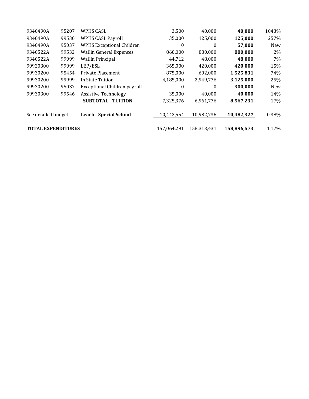| 9340490A                  | 95207 | WPHS CASL                        | 3,500       | 40,000      | 40,000     | 1043%      |
|---------------------------|-------|----------------------------------|-------------|-------------|------------|------------|
| 9340490A                  | 99530 | <b>WPHS CASL Payroll</b>         | 35,000      | 125,000     | 125,000    | 257%       |
| 9340490A                  | 95037 | <b>WPHS Exceptional Children</b> | 0           | 0           | 57,000     | <b>New</b> |
| 9340522A                  | 99532 | <b>Wallin General Expenses</b>   | 860,000     | 880,000     | 880,000    | 2%         |
| 9340522A                  | 99999 | <b>Wallin Principal</b>          | 44.712      | 48.000      | 48,000     | 7%         |
| 99920300                  | 99999 | LEP/ESL                          | 365,000     | 420,000     | 420,000    | 15%        |
| 99930200                  | 95454 | Private Placement                | 875,000     | 602,000     | 1,525,831  | 74%        |
| 99930200                  | 99999 | In State Tuition                 | 4,185,000   | 2,949,776   | 3,125,000  | $-25%$     |
| 99930200                  | 95037 | Exceptional Children payroll     | $\theta$    | $\theta$    | 300,000    | New        |
| 99930300                  | 99546 | <b>Assistive Technology</b>      | 35,000      | 40,000      | 40,000     | 14%        |
|                           |       | <b>SUBTOTAL - TUITION</b>        | 7,325,376   | 6,961,776   | 8,567,231  | 17%        |
| See detailed budget       |       | <b>Leach - Special School</b>    | 10,442,554  | 10,982,736  | 10,482,327 | 0.38%      |
| <b>TOTAL EXPENDITURES</b> |       | 157,064,291                      | 158,313,431 | 158,896,573 | 1.17%      |            |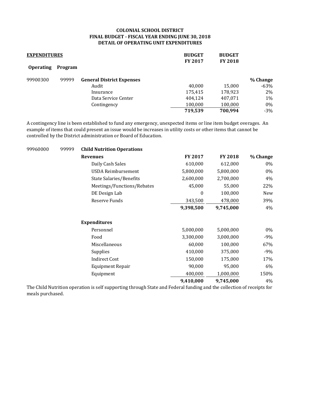#### **COLONIAL SCHOOL DISTRICT FINAL BUDGET - FISCAL YEAR ENDING JUNE 30, 2018 DETAIL OF OPERATING UNIT EXPENDITURES**

| <b>EXPENDITURES</b> |         | <b>BUDGET</b><br><b>FY 2017</b>  | <b>BUDGET</b><br><b>FY 2018</b> |         |          |
|---------------------|---------|----------------------------------|---------------------------------|---------|----------|
| <b>Operating</b>    | Program |                                  |                                 |         |          |
| 99900300            | 99999   | <b>General District Expenses</b> |                                 |         | % Change |
|                     |         | Audit                            | 40.000                          | 15,000  | $-63%$   |
|                     |         | Insurance                        | 175,415                         | 178,923 | 2%       |
|                     |         | Data Service Center              | 404,124                         | 407,071 | 1%       |
|                     |         | Contingency                      | 100,000                         | 100,000 | $0\%$    |
|                     |         |                                  | 719,539                         | 700,994 | $-3%$    |

A contingency line is been established to fund any emergency, unexpected items or line item budget overages. An example of items that could present an issue would be increases in utility costs or other items that cannot be controlled by the District administration or Board of Education.

| 99960000 | 99999 | <b>Child Nutrition Operations</b> |           |                |          |
|----------|-------|-----------------------------------|-----------|----------------|----------|
|          |       | <b>Revenues</b>                   | FY 2017   | <b>FY 2018</b> | % Change |
|          |       | Daily Cash Sales                  | 610,000   | 612,000        | $0\%$    |
|          |       | USDA Reimbursement                | 5,800,000 | 5,800,000      | $0\%$    |
|          |       | State Salaries/Benefits           | 2,600,000 | 2,700,000      | 4%       |
|          |       | Meetings/Functions/Rebates        | 45,000    | 55,000         | 22%      |
|          |       | DE Design Lab                     | $\theta$  | 100,000        | New      |
|          |       | Reserve Funds                     | 343,500   | 478,000        | 39%      |
|          |       |                                   | 9,398,500 | 9,745,000      | 4%       |
|          |       | <b>Expenditures</b>               |           |                |          |
|          |       | Personnel                         | 5,000,000 | 5,000,000      | $0\%$    |
|          |       | Food                              | 3,300,000 | 3,000,000      | -9%      |
|          |       | Miscellaneous                     | 60,000    | 100,000        | 67%      |
|          |       | Supplies                          | 410,000   | 375,000        | -9%      |
|          |       | <b>Indirect Cost</b>              | 150,000   | 175,000        | 17%      |
|          |       | <b>Equipment Repair</b>           | 90,000    | 95,000         | 6%       |
|          |       | Equipment                         | 400,000   | 1,000,000      | 150%     |
|          |       |                                   | 9,410,000 | 9,745,000      | 4%       |
|          |       |                                   |           |                |          |

The Child Nutrition operation is self supporting through State and Federal funding and the collection of receipts for meals purchased.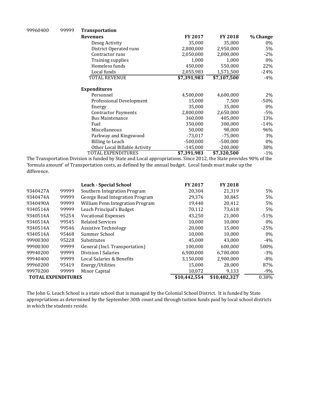| 99960400 | 99999 | <b>Transportation</b>         |                |                |          |
|----------|-------|-------------------------------|----------------|----------------|----------|
|          |       | <b>Revenues</b>               | <b>FY 2017</b> | <b>FY 2018</b> | % Change |
|          |       | Deseg Activity                | 35,000         | 35,000         | 0%       |
|          |       | District Operated runs        | 2,800,000      | 2,950,000      | 5%       |
|          |       | Contractor runs               | 2,050,000      | 2,000,000      | $-2\%$   |
|          |       | <b>Training supplies</b>      | 1,000          | 1,000          | 0%       |
|          |       | Homeless funds                | 450,000        | 550,000        | 22%      |
|          |       | Local funds                   | 2,055,983      | 1,571,500      | $-24%$   |
|          |       | <b>TOTAL REVENUE</b>          | \$7,391,983    | \$7,107,500    | -4%      |
|          |       | <b>Expenditures</b>           |                |                |          |
|          |       | Personnel                     | 4,500,000      | 4,600,000      | 2%       |
|          |       | Professional Development      | 15,000         | 7,500          | $-50\%$  |
|          |       | Energy                        | 35,000         | 35,000         | 0%       |
|          |       | <b>Contractor Payments</b>    | 2,800,000      | 2,650,000      | $-5\%$   |
|          |       | <b>Bus Maintenance</b>        | 360,000        | 405,000        | 13%      |
|          |       | Fuel                          | 350,000        | 300,000        | $-14%$   |
|          |       | Miscellaneous                 | 50,000         | 98,000         | 96%      |
|          |       | Parkway and Kingswood         | $-73,017$      | $-75,000$      | 3%       |
|          |       | <b>Billing to Leach</b>       | $-500,000$     | $-500,000$     | $0\%$    |
|          |       | Other Local Billable Activity | $-145,000$     | $-200,000$     | 38%      |
|          |       | TOTAL EXPENDITURES            | \$7,391,983    | \$7,320,500    | $-1\%$   |

The Transportation Division is funded by State and Local appropriations. Since 2012, the State provides 90% of the 'formula amount' of Transportation costs, as defined by the annual budget. Local funds must make up the difference.

|                           |       | <b>Leach - Special School</b>    | <b>FY 2017</b> | <b>FY 2018</b> |        |
|---------------------------|-------|----------------------------------|----------------|----------------|--------|
| 9340427A                  | 99999 | Southern Integration Program     | 20,304         | 21,319         | 5%     |
| 9340474A                  | 99999 | George Read Integration Program  | 29.376         | 30.845         | 5%     |
| 9340490A                  | 99999 | William Penn Integration Program | 19,440         | 20,412         | 5%     |
| 9340514A                  | 99999 | Leach Principal's Budget         | 70,112         | 73,618         | 5%     |
| 9340514A                  | 95254 | <b>Vocational Expenses</b>       | 43,250         | 21,000         | $-51%$ |
| 9340514A                  | 99545 | <b>Related Services</b>          | 10,000         | 10,000         | $0\%$  |
| 9340514A                  | 99546 | <b>Assistive Technology</b>      | 20,000         | 15,000         | $-25%$ |
| 9340514A                  | 95468 | Summer School                    | 10,000         | 10,000         | $0\%$  |
| 99900300                  | 95228 | Substitutes                      | 45.000         | 43,000         | $-4%$  |
| 99900300                  | 99999 | General (Incl. Transportation)   | 100.000        | 600.000        | 500%   |
| 99940200                  | 99999 | Division I Salaries              | 6,900,000      | 6,700,000      | $-3\%$ |
| 99940400                  | 99999 | Local Salaries & Benefits        | 3,150,000      | 2,900,000      | $-8\%$ |
| 99960200                  | 95419 | Energy/Utilities                 | 15.000         | 28,000         | 87%    |
| 99970200                  | 99999 | Minor Capital                    | 10,072         | 9,133          | $-9\%$ |
| <b>TOTAL EXPENDITURES</b> |       |                                  | \$10,442,554   | \$10,482,327   | 0.38%  |

The John G. Leach School is a state school that is managed by the Colonial School District. It is funded by State appropriations as determined by the September 30th count and through tuition funds paid by local school districts in which the students reside.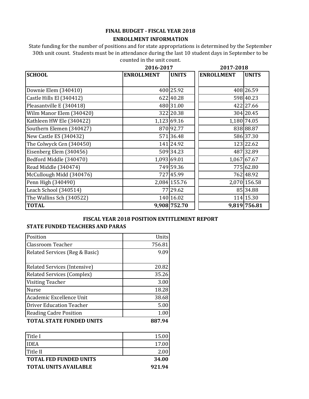#### **FINAL BUDGET - FISCAL YEAR 2018**

#### **ENROLLMENT INFORMATION**

State funding for the number of positions and for state appropriations is determined by the September 30th unit count. Students must be in attendance during the last 10 student days in September to be counted in the unit count.

|                          | 2016-2017         |              | 2017-2018                         |  |
|--------------------------|-------------------|--------------|-----------------------------------|--|
| <b>SCHOOL</b>            | <b>ENROLLMENT</b> | <b>UNITS</b> | <b>ENROLLMENT</b><br><b>UNITS</b> |  |
|                          |                   |              |                                   |  |
| Downie Elem (340410)     |                   | 400 25.92    | 408 26.59                         |  |
| Castle Hills El (340412) |                   | 622 40.28    | 598 40.23                         |  |
| Pleasantville E (340418) |                   | 480 31.00    | 422 27.66                         |  |
| Wilm Manor Elem (340420) |                   | 322 20.38    | 304 20.45                         |  |
| Kathleen HW Ele (340422) |                   | 1,123 69.16  | 1,180 74.05                       |  |
| Southern Elemen (340427) |                   | 870 92.77    | 838 88.87                         |  |
| New Castle ES (340432)   |                   | 571 36.48    | 586 37.30                         |  |
| The Colwyck Cen (340450) |                   | 141 24.92    | 123 22.62                         |  |
| Eisenberg Elem (340456)  |                   | 509 34.23    | 487 32.89                         |  |
| Bedford Middle (340470)  |                   | 1,093 69.01  | 1,067 67.67                       |  |
| Read Middle (340474)     |                   | 749 59.36    | 775 62.80                         |  |
| McCullough Midd (340476) |                   | 727 45.99    | 762 48.92                         |  |
| Penn High (340490)       |                   | 2,084 155.76 | 2,070 156.58                      |  |
| Leach School (340514)    |                   | 77 29.62     | 85 34.88                          |  |
| The Wallins Sch (340522) |                   | 140 16.02    | 114 15.30                         |  |
| <b>TOTAL</b>             |                   | 9,908 752.70 | 9,819 756.81                      |  |

#### **FISCAL YEAR 2018 POSITION ENTITLEMENT REPORT**

#### **STATE FUNDED TEACHERS AND PARAS**

| Position                          | Units  |
|-----------------------------------|--------|
| <b>Classroom Teacher</b>          | 756.81 |
| Related Services (Reg & Basic)    | 9.09   |
|                                   |        |
| Related Services (Intensive)      | 20.82  |
| <b>Related Services (Complex)</b> | 35.26  |
| <b>Visiting Teacher</b>           | 3.00   |
| <b>Nurse</b>                      | 18.28  |
| Academic Excellence Unit          | 38.68  |
| <b>Driver Education Teacher</b>   | 5.00   |
| <b>Reading Cadre Position</b>     | 1.00   |
| <b>TOTAL STATE FUNDED UNITS</b>   | 887.94 |

| <b>Title I</b>                | 15.00  |
|-------------------------------|--------|
| <b>IDEA</b>                   | 17.00  |
| Title II                      | 2.00   |
| <b>TOTAL FED FUNDED UNITS</b> | 34.00  |
| <b>TOTAL UNITS AVAILABLE</b>  | 921.94 |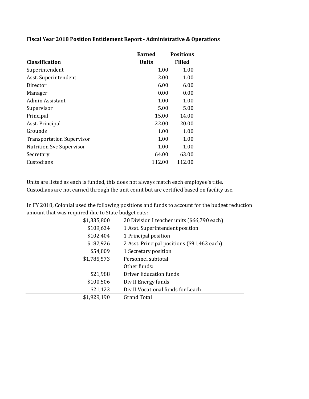#### **Fiscal Year 2018 Position Entitlement Report - Administrative & Operations**

|                                  | Earned       | <b>Positions</b> |
|----------------------------------|--------------|------------------|
| <b>Classification</b>            | <b>Units</b> | <b>Filled</b>    |
| Superintendent                   | 1.00         | 1.00             |
| Asst. Superintendent             | 2.00         | 1.00             |
| Director                         | 6.00         | 6.00             |
| Manager                          | 0.00         | 0.00             |
| Admin Assistant                  | 1.00         | 1.00             |
| Supervisor                       | 5.00         | 5.00             |
| Principal                        | 15.00        | 14.00            |
| Asst. Principal                  | 22.00        | 20.00            |
| Grounds                          | 1.00         | 1.00             |
| <b>Transportation Supervisor</b> | 1.00         | 1.00             |
| <b>Nutrition Svc Supervisor</b>  | 1.00         | 1.00             |
| Secretary                        | 64.00        | 63.00            |
| Custodians                       | 112.00       | 112.00           |

Units are listed as each is funded, this does not always match each employee's title. Custodians are not earned through the unit count but are certified based on facility use.

In FY 2018, Colonial used the following positions and funds to account for the budget reduction amount that was required due to State budget cuts:

| \$1,335,800 | 20 Division I teacher units (\$66,790 each) |
|-------------|---------------------------------------------|
| \$109,634   | 1 Asst. Superintendent position             |
| \$102,404   | 1 Principal position                        |
| \$182,926   | 2 Asst. Principal positions (\$91,463 each) |
| \$54,809    | 1 Secretary position                        |
| \$1,785,573 | Personnel subtotal                          |
|             | Other funds:                                |
| \$21,988    | Driver Education funds                      |
| \$100,506   | Div II Energy funds                         |
| \$21,123    | Div II Vocational funds for Leach           |
| \$1,929,190 | Grand Total                                 |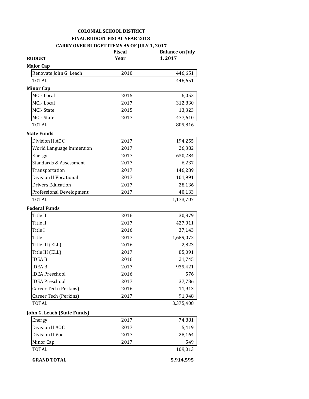#### **COLONIAL SCHOOL DISTRICT FINAL BUDGET FISCAL YEAR 2018 CARRY OVER BUDGET ITEMS AS OF JULY 1, 2017**

| <b>BUDGET</b>               | <b>Fiscal</b><br>Year | <b>Balance on July</b><br>1,2017 |
|-----------------------------|-----------------------|----------------------------------|
| <b>Major Cap</b>            |                       |                                  |
| Renovate John G. Leach      | 2010                  | 446,651                          |
| TOTAL                       |                       | 446,651                          |
| <b>Minor Cap</b>            |                       |                                  |
| MCI-Local                   | 2015                  | 6,053                            |
| MCI-Local                   | 2017                  | 312,830                          |
| <b>MCI-State</b>            | 2015                  | 13,323                           |
| <b>MCI-State</b>            | 2017                  | 477,610                          |
| TOTAL                       |                       | 809,816                          |
| <b>State Funds</b>          |                       |                                  |
| Division II AOC             | 2017                  | 194,255                          |
| World Language Immersion    | 2017                  | 26,382                           |
| Energy                      | 2017                  | 630,284                          |
| Standards & Assessment      | 2017                  | 6,237                            |
| Transportation              | 2017                  | 146,289                          |
| Division II Vocational      | 2017                  | 101,991                          |
| <b>Drivers Education</b>    | 2017                  | 28,136                           |
| Professional Development    | 2017                  | 40,133                           |
| <b>TOTAL</b>                |                       | 1,173,707                        |
| <b>Federal Funds</b>        |                       |                                  |
| Title II                    | 2016                  | 30,879                           |
| Title II                    | 2017                  | 427,011                          |
| Title I                     | 2016                  | 37,143                           |
| Title I                     | 2017                  | 1,689,072                        |
| Title III (ELL)             | 2016                  | 2,823                            |
| Title III (ELL)             | 2017                  | 85,091                           |
| <b>IDEAB</b>                | 2016                  | 21,745                           |
| <b>IDEAB</b>                | 2017                  | 939,421                          |
| <b>IDEA Preschool</b>       | 2016                  | 576                              |
| <b>IDEA Preschool</b>       | 2017                  | 37,786                           |
| Career Tech (Perkins)       | 2016                  | 11,913                           |
| Career Tech (Perkins)       | 2017                  | 91,948                           |
| <b>TOTAL</b>                |                       | 3,375,408                        |
| John G. Leach (State Funds) |                       |                                  |
| Energy                      | 2017                  | 74,881                           |
| Division II AOC             | 2017                  | 5,419                            |
| Division II Voc             | 2017                  | 28,164                           |
| Minor Cap                   | 2017                  | 549                              |
| <b>TOTAL</b>                |                       | 109,013                          |
| <b>GRAND TOTAL</b>          |                       | 5,914,595                        |